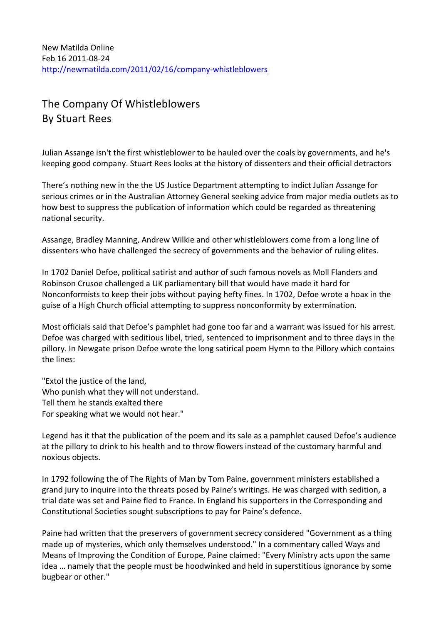## The Company Of Whistleblowers **By Stuart Rees**

Julian Assange isn't the first whistleblower to be hauled over the coals by governments, and he's keeping good company. Stuart Rees looks at the history of dissenters and their official detractors

There's nothing new in the the US Justice Department attempting to indict Julian Assange for serious crimes or in the Australian Attorney General seeking advice from major media outlets as to how best to suppress the publication of information which could be regarded as threatening national security.

Assange, Bradley Manning, Andrew Wilkie and other whistleblowers come from a long line of dissenters who have challenged the secrecy of governments and the behavior of ruling elites.

In 1702 Daniel Defoe, political satirist and author of such famous novels as Moll Flanders and Robinson Crusoe challenged a UK parliamentary bill that would have made it hard for Nonconformists to keep their jobs without paying hefty fines. In 1702, Defoe wrote a hoax in the guise of a High Church official attempting to suppress nonconformity by extermination.

Most officials said that Defoe's pamphlet had gone too far and a warrant was issued for his arrest. Defoe was charged with seditious libel, tried, sentenced to imprisonment and to three days in the pillory. In Newgate prison Defoe wrote the long satirical poem Hymn to the Pillory which contains the lines:

"Extol the justice of the land, Who punish what they will not understand. Tell them he stands exalted there For speaking what we would not hear."

Legend has it that the publication of the poem and its sale as a pamphlet caused Defoe's audience at the pillory to drink to his health and to throw flowers instead of the customary harmful and noxious objects.

In 1792 following the of The Rights of Man by Tom Paine, government ministers established a grand jury to inquire into the threats posed by Paine's writings. He was charged with sedition, a trial date was set and Paine fled to France. In England his supporters in the Corresponding and Constitutional Societies sought subscriptions to pay for Paine's defence.

Paine had written that the preservers of government secrecy considered "Government as a thing made up of mysteries, which only themselves understood." In a commentary called Ways and Means of Improving the Condition of Europe, Paine claimed: "Every Ministry acts upon the same idea ... namely that the people must be hoodwinked and held in superstitious ignorance by some bugbear or other."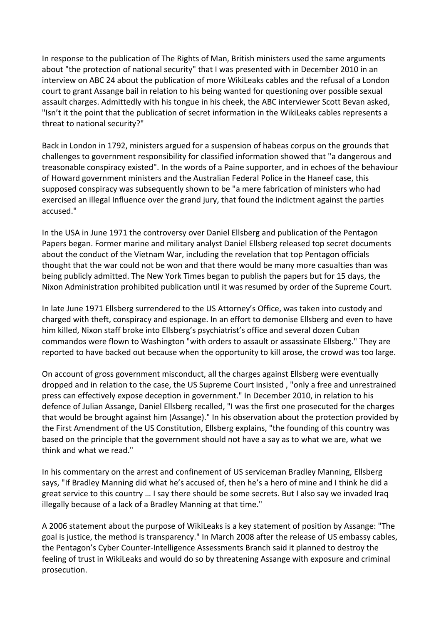In response to the publication of The Rights of Man, British ministers used the same arguments about "the protection of national security" that I was presented with in December 2010 in an interview on ABC 24 about the publication of more WikiLeaks cables and the refusal of a London court to grant Assange bail in relation to his being wanted for questioning over possible sexual assault charges. Admittedly with his tongue in his cheek, the ABC interviewer Scott Bevan asked, "Isn't it the point that the publication of secret information in the WikiLeaks cables represents a threat to national security?"

Back in London in 1792, ministers argued for a suspension of habeas corpus on the grounds that challenges to government responsibility for classified information showed that "a dangerous and treasonable conspiracy existed". In the words of a Paine supporter, and in echoes of the behaviour of Howard government ministers and the Australian Federal Police in the Haneef case, this supposed conspiracy was subsequently shown to be "a mere fabrication of ministers who had exercised an illegal Influence over the grand jury, that found the indictment against the parties accused."

In the USA in June 1971 the controversy over Daniel Ellsberg and publication of the Pentagon Papers began. Former marine and military analyst Daniel Ellsberg released top secret documents about the conduct of the Vietnam War, including the revelation that top Pentagon officials thought that the war could not be won and that there would be many more casualties than was being publicly admitted. The New York Times began to publish the papers but for 15 days, the Nixon Administration prohibited publication until it was resumed by order of the Supreme Court.

In late June 1971 Ellsberg surrendered to the US Attorney's Office, was taken into custody and charged with theft, conspiracy and espionage. In an effort to demonise Ellsberg and even to have him killed, Nixon staff broke into Ellsberg's psychiatrist's office and several dozen Cuban commandos were flown to Washington "with orders to assault or assassinate Ellsberg." They are reported to have backed out because when the opportunity to kill arose, the crowd was too large.

On account of gross government misconduct, all the charges against Ellsberg were eventually dropped and in relation to the case, the US Supreme Court insisted, "only a free and unrestrained press can effectively expose deception in government." In December 2010, in relation to his defence of Julian Assange, Daniel Ellsberg recalled, "I was the first one prosecuted for the charges that would be brought against him (Assange)." In his observation about the protection provided by the First Amendment of the US Constitution, Ellsberg explains, "the founding of this country was based on the principle that the government should not have a say as to what we are, what we think and what we read."

In his commentary on the arrest and confinement of US serviceman Bradley Manning, Ellsberg says, "If Bradley Manning did what he's accused of, then he's a hero of mine and I think he did a great service to this country … I say there should be some secrets. But I also say we invaded Iraq illegally because of a lack of a Bradley Manning at that time."

A 2006 statement about the purpose of WikiLeaks is a key statement of position by Assange: "The goal is justice, the method is transparency." In March 2008 after the release of US embassy cables, the Pentagon's Cyber Counter-Intelligence Assessments Branch said it planned to destroy the feeling of trust in WikiLeaks and would do so by threatening Assange with exposure and criminal prosecution.\$